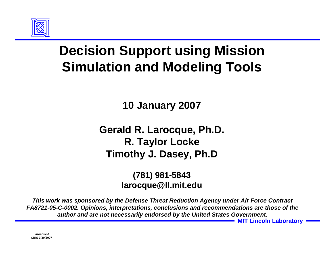

# **Decision Support using Mission Simulation and Modeling Tools**

**10 January 2007**

**Gerald R. Larocque, Ph.D. R. Taylor Locke Timothy J. Dasey, Ph.D**

> **(781) 981-5843 larocque@ll.mit.edu**

*This work was sponsored by the Defense Threat Reduction Agency under Air Force Contract FA8721-05-C-0002. Opinions, interpretations, conclusions and recommendations are those of the author and are not necessarily endorsed by the United States Government.* 

**MIT Lincoln Laboratory**

**Larocque-1 CBIS 3/30/2007**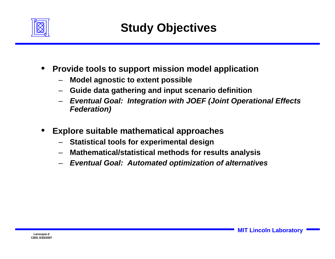

- $\bullet$  **Provide tools to support mission model application**
	- **Model agnostic to extent possible**
	- **Guide data gathering and input scenario definition**
	- *Eventual Goal: Integration with JOEF (Joint Operational Effects Federation)*
- • **Explore suitable mathematical approaches**
	- **Statistical tools for experimental design**
	- **Mathematical/statistical methods for results analysis**
	- *Eventual Goal: Automated optimization of alternatives*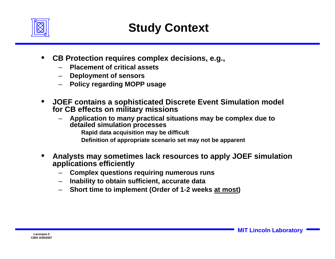

- • **CB Protection requires complex decisions, e.g.,**
	- **Placement of critical assets**
	- **Deployment of sensors**
	- **Policy regarding MOPP usage**
- $\bullet$  **JOEF contains a sophisticated Discrete Event Simulation model for CB effects on military missions**
	- **Application to many practical situations may be complex due to detailed simulation processes Rapid data acquisition may be difficult Definition of appropriate scenario set may not be apparent**
- • **Analysts may sometimes lack resources to apply JOEF simulation applications efficiently**
	- **Complex questions requiring numerous runs**
	- –**Inability to obtain sufficient, accurate data**
	- **Short time to implement (Order of 1-2 weeks at most)**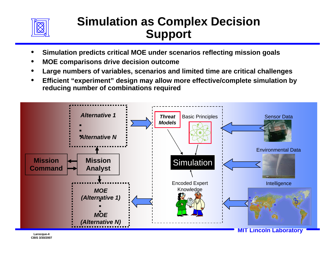

### **Simulation as Complex Decision Support**

- •**Simulation predicts critical MOE under scenarios reflecting mission goals**
- •**MOE comparisons drive decision outcome**
- •**Large numbers of variables, scenarios and limited time are critical challenges**
- • **Efficient "experiment" design may allow more effective/complete simulation by reducing number of combinations required**

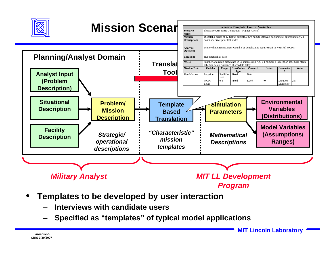

- – **Interviews with candidate users**
	- –**Specified as "templates" of typical model applications**

Larocque-5<br>
Larocque-5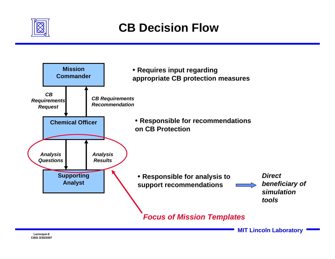

### **CB Decision Flow**

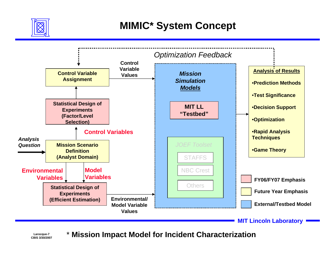

### **MIMIC\* System Concept**



**Larocque-7 CBIS 3/30/2007** \* **Mission Impact Model for Incident Characterization**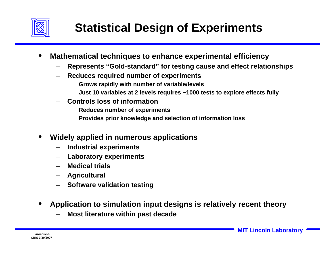

- • **Mathematical techniques to enhance experimental efficiency**
	- **Represents "Gold-standard" for testing cause and effect relationships**
	- **Reduces required number of experiments Grows rapidly with number of variable/levels Just 10 variables at 2 levels requires ~1000 tests to explore effects fully**
	- **Controls loss of informationReduces number of experiments Provides prior knowledge and selection of information loss**
- • **Widely applied in numerous applications**
	- **Industrial experiments**
	- –**Laboratory experiments**
	- **Medical trials**
	- **Agricultural**
	- **Software validation testing**
- • **Application to simulation input designs is relatively recent theory**
	- **Most literature within past decade**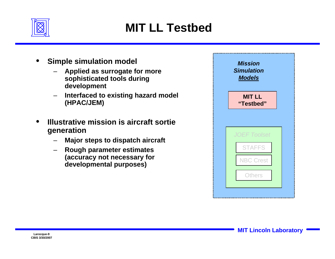

### **MIT LL Testbed**

- • **Simple simulation model** 
	- **Applied as surrogate for more sophisticated tools during development**
	- **Interfaced to existing hazard model (HPAC/JEM)**
- • **Illustrative mission is aircraft sortie generation**
	- –**Major steps to dispatch aircraft**
	- **Rough parameter estimates (accuracy not necessary for developmental purposes)**

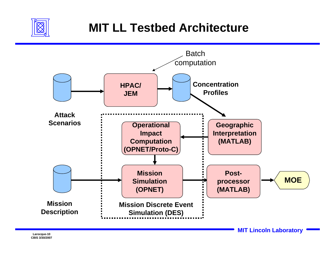

### **MIT LL Testbed Architecture**



**CBIS 3/30/2007**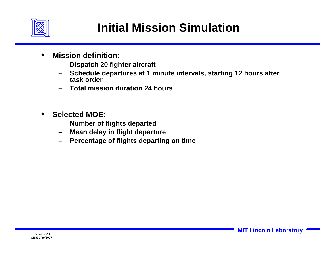

## **Initial Mission Simulation**

- $\bullet$  **Mission definition:**
	- **Dispatch 20 fighter aircraft**
	- **Schedule departures at 1 minute intervals, starting 12 hours after task order**
	- **Total mission duration 24 hours**
- $\bullet$  **Selected MOE:**
	- –**Number of flights departed**
	- –**Mean delay in flight departure**
	- **Percentage of flights departing on time**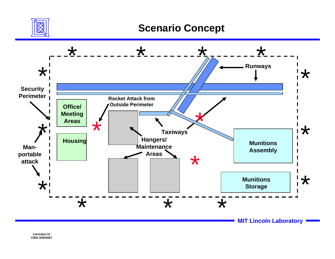

**MIT Lincoln Laboratory**

\*

\*

**Larocque-12 CBIS 3/30/2007**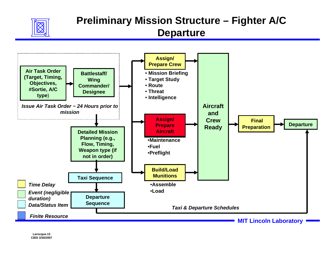

### **Preliminary Mission Structure – Fighter A/C Departure**

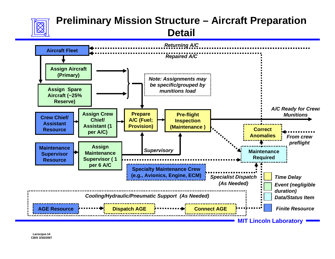

### **Preliminary Mission Structure – Aircraft Preparation Detail**

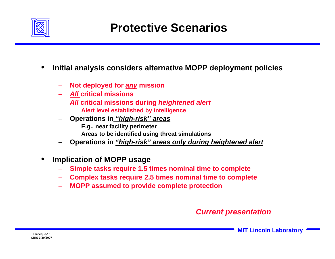

- • **Initial analysis considers alternative MOPP deployment policies**
	- **Not deployed for** *any* **mission**
	- *All* **critical missions**
	- *All* **critical missions during** *heightened alert* **Alert level established by intelligence**
	- **Operations in** *"high-risk" areas*  **E.g., near facility perimeter Areas to be identified using threat simulations**
	- **Operations in** *"high-risk" areas only during heightened alert*
- • **Implication of MOPP usage**
	- **Simple tasks require 1.5 times nominal time to complete**
	- **Complex tasks require 2.5 times nominal time to complete**
	- –**MOPP assumed to provide complete protection**

#### *Current presentation*

Larocque-15<br>Larocque-15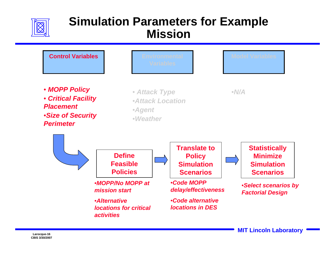

### **Simulation Parameters for Example Mission**

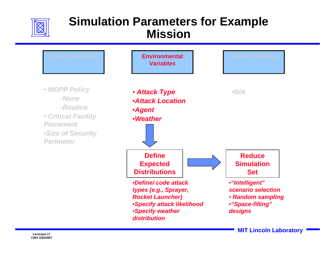

### **Simulation Parameters for Example Mission**



Larocque-17<br>Larocque-17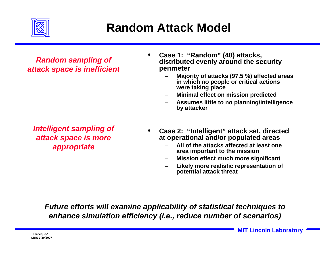

## **Random Attack Model**

#### *Random sampling of attack space is inefficient*

*Intelligent sampling of attack space is more appropriate*

- • **Case 1: "Random" (40) attacks, distributed evenly around the security perimeter**
	- – **Majority of attacks (97.5 %) affected areas in which no people or critical actions were taking place**
	- –**Minimal effect on mission predicted**
	- **Assumes little to no planning/intelligence by attacker**
- • **Case 2: "Intelligent" attack set, directed at operational and/or populated areas**
	- – **All of the attacks affected at least one area important to the mission**
	- –**Mission effect much more significant**
	- – **Likely more realistic representation of potential attack threat**

*Future efforts will examine applicability of statistical techniques to enhance simulation efficiency (i.e., reduce number of scenarios)*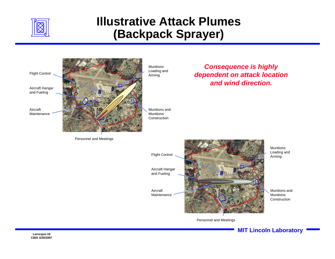

### **Illustrative Attack Plumes(Backpack Sprayer)**



Personnel and Meetings

*Consequence is highly dependent on attack location and wind direction.*



Personnel and Meetings

Larocque-19<br>Larocque-19

**CBIS 3/30/2007**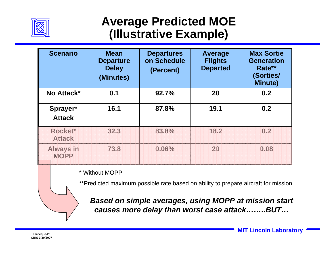

### **Average Predicted MOE (Illustrative Example)**

| <b>Scenario</b>           | <b>Mean</b><br><b>Departure</b><br><b>Delay</b><br>(Minutes) | <b>Departures</b><br>on Schedule<br>(Percent) | Average<br><b>Flights</b><br><b>Departed</b> | <b>Max Sortie</b><br><b>Generation</b><br>Rate**<br>(Sorties/<br><b>Minute)</b> |
|---------------------------|--------------------------------------------------------------|-----------------------------------------------|----------------------------------------------|---------------------------------------------------------------------------------|
| No Attack*                | 0.1                                                          | 92.7%                                         | 20                                           | 0.2                                                                             |
| Sprayer*<br><b>Attack</b> | 16.1                                                         | 87.8%                                         | 19.1                                         | 0.2                                                                             |
| Rocket*<br><b>Attack</b>  | 32.3                                                         | 83.8%                                         | 18.2                                         | 0.2                                                                             |
| Always in<br><b>MOPP</b>  | 73.8                                                         | 0.06%                                         | 20                                           | 0.08                                                                            |

\* Without MOPP

\*\*Predicted maximum possible rate based on ability to prepare aircraft for mission

*Based on simple averages, using MOPP at mission start causes more delay than worst case attack……..BUT…*

Larocque-20<br>
Larocque-20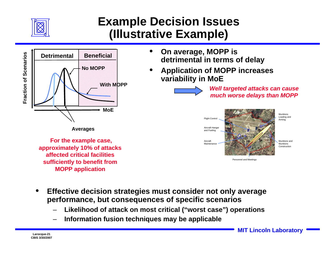

## **Example Decision Issues (Illustrative Example)**



**For the example case, approximately 10% of attacks affected critical facilities sufficiently to benefit from MOPP application**

- $\bullet$  **On average, MOPP is detrimental in terms of delay**
- • **Application of MOPP increases variability in MoE**



*Well targeted attacks can cause much worse delays than MOPP*



- • **Effective decision strategies must consider not only average performance, but consequences of specific scenarios**
	- –**Likelihood of attack on most critical ("worst case") operations**
	- –**Information fusion techniques may be applicable**